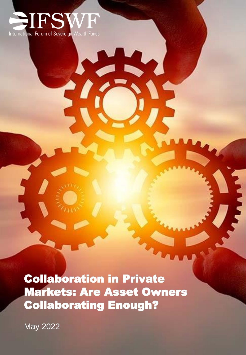

Collaboration in Private Markets: Are Asset Owners Collaborating Enough?

May 2022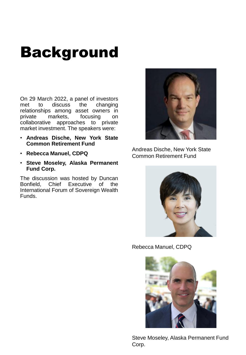## Background

On 29 March 2022, a panel of investors met to discuss the changing relationships among asset owners in private markets, focusing on collaborative approaches to private market investment. The speakers were:

- **Andreas Dische, New York State Common Retirement Fund**
- **Rebecca Manuel, CDPQ**
- **Steve Moseley, Alaska Permanent Fund Corp.**

The discussion was hosted by Duncan Bonfield, Chief Executive of the International Forum of Sovereign Wealth Funds.



Andreas Dische, New York State Common Retirement Fund



Rebecca Manuel, CDPQ



Steve Moseley, Alaska Permanent Fund Corp.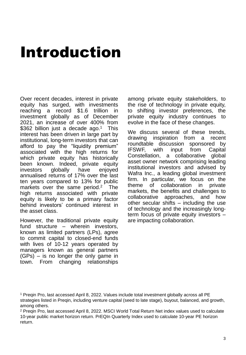# Introduction

Over recent decades, interest in private equity has surged, with investments reaching a record \$1.6 trillion in investment globally as of December 2021, an increase of over 400% from \$362 billion just a decade ago.<sup>1</sup> This interest has been driven in large part by institutional, long-term investors that can afford to pay the "liquidity premium" associated with the high returns for which private equity has historically been known. Indeed, private equity investors globally have enjoyed annualised returns of 17% over the last ten years compared to 13% for public markets over the same period. <sup>2</sup> The high returns associated with private equity is likely to be a primary factor behind investors' continued interest in the asset class.

However, the traditional private equity fund structure – wherein investors, known as limited partners (LPs), agree to commit capital to closed-end funds with lives of 10-12 years operated by managers known as general partners (GPs) – is no longer the only game in town. From changing relationships among private equity stakeholders, to the rise of technology in private equity, to shifting investor preferences, the private equity industry continues to evolve in the face of these changes.

We discuss several of these trends, drawing inspiration from a recent roundtable discussion sponsored by IFSWF, with input from Capital Constellation, a collaborative global asset owner network comprising leading institutional investors and advised by Wafra Inc., a leading global investment firm. In particular, we focus on the theme of collaboration in private markets, the benefits and challenges to collaborative approaches, and how other secular shifts – including the use of technology and the increasingly longterm focus of private equity investors – are impacting collaboration.

<sup>1</sup> Preqin Pro, last accessed April 8, 2022. Values include total investment globally across all PE strategies listed in Preqin, including venture capital (seed to late stage), buyout, balanced, and growth, among others.

<sup>2</sup> Preqin Pro, last accessed April 8, 2022. MSCI World Total Return Net index values used to calculate 10-year public market horizon return. PrEQIn Quarterly Index used to calculate 10-year PE horizon return.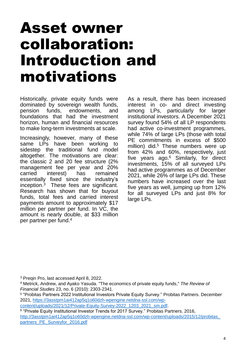#### Asset owner collaboration: Introduction and motivations

Historically, private equity funds were dominated by sovereign wealth funds, pension funds, endowments, and foundations that had the investment horizon, human and financial resources to make long-term investments at scale.

Increasingly, however, many of these same LPs have been working to sidestep the traditional fund model altogether. The motivations are clear: the classic 2 and 20 fee structure (2% management fee per year and 20% carried interest) has remained essentially fixed since the industry's inception. <sup>3</sup> These fees are significant. Research has shown that for buyout funds, total fees and carried interest payments amount to approximately \$17 million per partner per fund. In VC, the amount is nearly double, at \$33 million per partner per fund. 4

As a result, there has been increased interest in co- and direct investing among LPs, particularly for larger institutional investors. A December 2021 survey found 54% of all LP respondents had active co-investment programmes, while 74% of large LPs (those with total PE commitments in excess of \$500 million) did. <sup>5</sup> These numbers were up from 42% and 60%, respectively, just five years ago. <sup>6</sup> Similarly, for direct investments, 15% of all surveyed LPs had active programmes as of December 2021, while 26% of large LPs did. These numbers have increased over the last five years as well, jumping up from 12% for all surveyed LPs and just 8% for large LPs.

<sup>3</sup> Preqin Pro, last accessed April 8, 2022.

[content/uploads/2021/12/Private-Equity-Survey-2022\\_1203\\_2021\\_sm.pdf.](https://3asstpm1ai412ap5q1o60dzh-wpengine.netdna-ssl.com/wp-content/uploads/2021/12/Private-Equity-Survey-2022_1203_2021_sm.pdf)

6 "Private Equity Institutional Investor Trends for 2017 Survey." Probitas Partners. 2016, [http://3asstpm1ai412ap5q1o60dzh-wpengine.netdna-ssl.com/wp-content/uploads/2015/12/probitas\\_](http://3asstpm1ai412ap5q1o60dzh-wpengine.netdna-ssl.com/wp-content/uploads/2015/12/probitas_%20partners_PE_Surveyfor_2016.pdf)  partners\_PE\_Surveyfor\_2016.pdf

<sup>4</sup> Metrick, Andrew, and Ayako Yasuda. "The economics of private equity funds," *The Review of Financial Studies* 23, no. 6 (2010): 2303-2341.

<sup>5</sup> "Probitas Partners 2022 Institutional Investors Private Equity Survey." Probitas Partners. December 2021, https://3asstpm1ai412ap5q1o60dzh-wpengine.netdna-ssl.com/wp-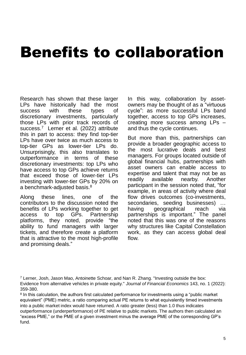### Benefits to collaboration

Research has shown that these larger LPs have historically had the most success with these types of discretionary investments, particularly those LPs with prior track records of success. <sup>7</sup> Lerner et al. (2022) attribute this in part to access: they find top-tier LPs have over twice as much access to top-tier GPs as lower-tier LPs do. Unsurprisingly, this also translates to outperformance in terms of these discretionary investments: top LPs who have access to top GPs achieve returns that exceed those of lower-tier LPs investing with lower-tier GPs by 20% on a benchmark-adjusted basis. $^8$ 

Along these lines, one of the contributors to the discussion noted the benefits of LPs working together to get access to top GPs. Partnership platforms, they noted, provide "the ability to fund managers with larger tickets, and therefore create a platform that is attractive to the most high-profile and promising deals."

In this way, collaboration by assetowners may be thought of as a "virtuous cycle": as more successful LPs band together, access to top GPs increases, creating more success among LPs – and thus the cycle continues.

But more than this, partnerships can provide a broader geographic access to the most lucrative deals and best managers. For groups located outside of global financial hubs, partnerships with asset owners can enable access to expertise and talent that may not be as readily available nearby. Another participant in the session noted that, "for example, in areas of activity where deal flow drives outcomes (co-investments, secondaries, seeding businesses) ... having geographical reach via partnerships is important." The panel noted that this was one of the reasons why structures like Capital Constellation work, as they can access global deal flow.

 $7$  Lerner, Josh, Jason Mao, Antoinette Schoar, and Nan R. Zhang. "Investing outside the box: Evidence from alternative vehicles in private equity." *Journal of Financial Economics* 143, no. 1 (2022): 359-380.

 $8$  In this calculation, the authors first calculated performance for investments using a "public market equivalent" (PME) metric, a ratio comparing actual PE returns to what equivalently timed investments into a public market index would have returned. A ratio greater (less) than 1.0 thus indicates outperformance (underperformance) of PE relative to public markets. The authors then calculated an "excess PME," or the PME of a given investment minus the average PME of the corresponding GP's fund.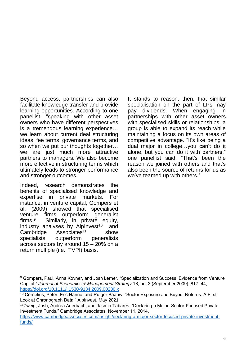Beyond access, partnerships can also facilitate knowledge transfer and provide learning opportunities. According to one panellist, "speaking with other asset owners who have different perspectives is a tremendous learning experience… we learn about current deal structuring ideas, fee terms, governance terms, and so when we put our thoughts together… we are just much more attractive partners to managers. We also become more effective in structuring terms which ultimately leads to stronger performance and stronger outcomes."

Indeed, research demonstrates the benefits of specialised knowledge and expertise in private markets. For instance, in venture capital, Gompers et al. (2009) showed that specialised venture firms outperform generalist firms. Similarly, in private equity, industry analyses by AlpInvest<sup>10</sup> and Cambridge Associates<sup>11</sup> show specialists outperform generalists across sectors by around 15 – 20% on a return multiple (i.e., TVPI) basis.

It stands to reason, then, that similar specialisation on the part of LPs may pay dividends. When engaging in partnerships with other asset owners with specialised skills or relationships, a group is able to expand its reach while maintaining a focus on its own areas of competitive advantage. "It's like being a dual major in college…you can't do it alone, but you can do it with partners," one panellist said. "That's been the reason we joined with others and that's also been the source of returns for us as we've teamed up with others."

<sup>9</sup> Gompers, Paul, Anna Kovner, and Josh Lerner. "Specialization and Success: Evidence from Venture Capital." *Journal of Economics & Management Strategy* 18, no. 3 (September 2009): 817–44, <https://doi.org/10.1111/j.1530-9134.2009.00230.x>

<sup>10</sup> Cornelius, Peter, Eric Hanno, and Rutger Baauw. "Sector Exposure and Buyout Returns: A First Look at Chronograph Data." AlpInvest, May 2021.

<sup>11</sup>Zweig, Josh, Andrea Auerbach, and Jasmin Tabares. "Declaring a Major: Sector-Focused Private Investment Funds." Cambridge Associates, November 11, 2014,

[https://www.cambridgeassociates.com/insight/declaring-a-major-sector-focused-private-investment](https://www.cambridgeassociates.com/insight/declaring-a-major-sector-focused-private-investment-funds/)funds/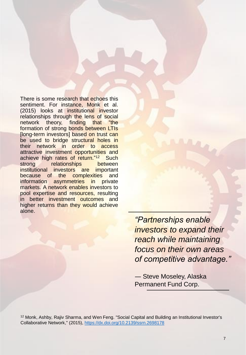There is some research that echoes this sentiment. For instance, Monk et al. (2015) looks at institutional investor relationships through the lens of social network theory, finding that "the formation of strong bonds between LTIs [long-term investors] based on trust can be used to bridge structural holes in their network in order to access attractive investment opportunities and achieve high rates of return."<sup>12</sup> Such strong relationships between institutional investors are important because of the complexities and information asymmetries in private markets. A network enables investors to pool expertise and resources, resulting in better investment outcomes and higher returns than they would achieve alone.

> *"Partnerships enable investors to expand their reach while maintaining focus on their own areas of competitive advantage."*

*―* Steve Moseley, Alaska Permanent Fund Corp.

<sup>12</sup> Monk, Ashby, Rajiv Sharma, and Wen Feng. "Social Capital and Building an Institutional Investor's Collaborative Network," (2015), <https://dx.doi.org/10.2139/ssrn.2698178>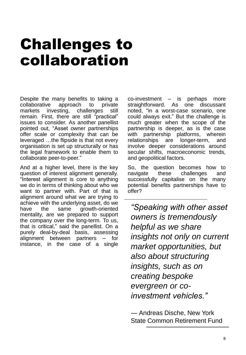# Challenges to collaboration

Despite the many benefits to taking a collaborative approach to private markets investing, challenges still remain. First, there are still "practical" issues to consider. As another panellist pointed out, "Asset owner partnerships offer scale or complexity that can be leveraged …the flipside is that not every organisation is set up structurally or has the legal framework to enable them to collaborate peer-to-peer."

And at a higher level, there is the key question of interest alignment generally. "Interest alignment is core to anything we do in terms of thinking about who we want to partner with. Part of that is alignment around what we are trying to achieve with the underlying asset, do we have the same growth-oriented mentality, are we prepared to support the company over the long-term. To us, that is critical," said the panellist. On a purely deal-by-deal basis, assessing alignment between partners – for instance, in the case of a single co-investment – is perhaps more straightforward. As one discussant noted, "in a worst-case scenario, one could always exit." But the challenge is much greater when the scope of the partnership is deeper, as is the case with partnership platforms, wherein relationships are longer-term, and involve deeper considerations around secular shifts, macroeconomic trends, and geopolitical factors.

So, the question becomes how to navigate these challenges and successfully capitalise on the many potential benefits partnerships have to offer?

*"Speaking with other asset owners is tremendously helpful as we share insights not only on current market opportunities, but also about structuring insights, such as on creating bespoke evergreen or coinvestment vehicles."*

*―* Andreas Dische, New York State Common Retirement Fund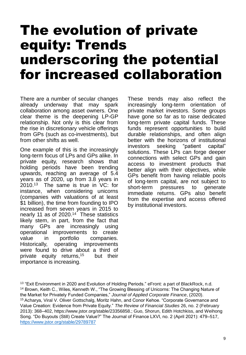#### The evolution of private equity: Trends underscoring the potential for increased collaboration

There are a number of secular changes already underway that may spark collaboration among asset owners. One clear theme is the deepening LP-GP relationship. Not only is this clear from the rise in discretionary vehicle offerings from GPs (such as co-investments), but from other shifts as well.

One example of this is the increasingly long-term focus of LPs and GPs alike. In private equity, research shows that holding periods have been trending upwards, reaching an average of 5.4 years as of 2020, up from 3.8 years in 2010. <sup>13</sup> The same is true in VC: for instance, when considering unicorns (companies with valuations of at least \$1 billion), the time from founding to IPO increased from seven years in 2015 to nearly 11 as of 2020. <sup>14</sup> These statistics likely stem, in part, from the fact that many GPs are increasingly using operational improvements to create value in portfolio companies. Historically, operating improvements were found to drive about a third of private equity returns,<sup>15</sup> but their importance is increasing.

These trends may also reflect the increasingly long-term orientation of private market investors. Some groups have gone so far as to raise dedicated long-term private capital funds. These funds represent opportunities to build durable relationships, and often align better with the horizons of institutional investors seeking "patient capital" solutions. These LPs can forge deeper connections with select GPs and gain access to investment products that better align with their objectives, while GPs benefit from having reliable pools of long-term capital, are not subject to short-term pressures to generate immediate returns. GPs also benefit from the expertise and access offered by institutional investors.

<sup>&</sup>lt;sup>13</sup> "Exit Environment in 2020 and Evolution of Holding Periods." eFront: a part of BlackRock, n.d. <sup>14</sup> Brown, Keith C., Wiles, Kenneth W., "The Growing Blessing of Unicorns: The Changing Nature of the Market for Privately Funded Companies," *Journal of Applied Corporate Finance*, (2020). <sup>15</sup> Acharya, Viral V. Oliver Gottschalg, Moritz Hahn, and Conor Kehoe. "Corporate Governance and Value Creation: Evidence from Private Equity." *The Review of Financial Studies* 26, no. 2 (February 2013): 368–402, https://www.jstor.org/stable/23356858.; Guo, Shorun, Edith Hotchkiss, and Weihong Song. "Do Buyouts (Still) Create Value?" The Journal of Finance LXVI, no. 2 (April 2021): 479–517, <https://www.jstor.org/stable/29789787>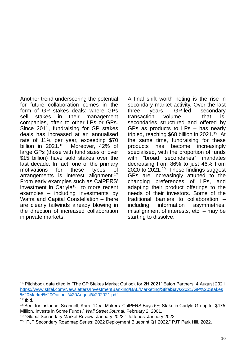Another trend underscoring the potential for future collaboration comes in the form of GP stakes deals: where GPs sell stakes in their management companies, often to other LPs or GPs. Since 2011, fundraising for GP stakes deals has increased at an annualised rate of 11% per year, exceeding \$70 billion in 2021.<sup>16</sup> Moreover, 42% of large GPs (those with fund sizes of over \$15 billion) have sold stakes over the last decade. In fact, one of the primary motivations for these types of arrangements is interest alignment.<sup>17</sup> From early examples such as CalPERS' investment in Carlyle<sup>18</sup> to more recent examples – including investments by Wafra and Capital Constellation – there are clearly tailwinds already blowing in the direction of increased collaboration in private markets.

A final shift worth noting is the rise in secondary market activity. Over the last three years, GP-led secondary transaction volume – that is, secondaries structured and offered by GPs as products to LPs – has nearly tripled, reaching \$68 billion in 2021. <sup>19</sup> At the same time, fundraising for these products has become increasingly specialised, with the proportion of funds with "broad secondaries" mandates decreasing from 86% to just 46% from 2020 to 2021.<sup>20</sup> These findings suggest GPs are increasingly attuned to the changing preferences of LPs, and adapting their product offerings to the needs of their investors. Some of the traditional barriers to collaboration – including information asymmetries, misalignment of interests, etc. – may be starting to dissolve.

<sup>16</sup> Pitchbook data cited in "The GP Stakes Market Outlook for 2H 2021" Eaton Partners. 4 August 2021 [https://www.stifel.com/Newsletters/InvestmentBanking/BAL/Marketing/StifelSays/2021/GP%20Stakes](https://www.stifel.com/Newsletters/InvestmentBanking/BAL/Marketing/StifelSays/2021/GP%20Stakes%20Market%20Outlook%20August%202021.pdf) %20Market%20Outlook%20August%202021.pdf

 $17$  Ibid.

<sup>&</sup>lt;sup>18</sup> See, for instance, Scannell, Kara. "Deal Makers: CalPERS Buys 5% Stake in Carlyle Group for \$175 Million, Invests in Some Funds." *Wall Street Journal*. February 2, 2001.

<sup>19</sup> "Global Secondary Market Review: January 2022." Jefferies. January 2022.

<sup>20</sup> "PJT Secondary Roadmap Series: 2022 Deployment Blueprint Q1 2022." PJT Park Hill. 2022.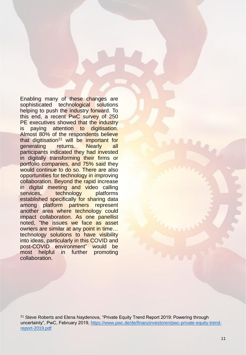Enabling many of these changes are sophisticated technological solutions helping to push the industry forward. To this end, a recent PwC survey of 250 PE executives showed that the industry is paying attention to digitisation. Almost 80% of the respondents believe that digitisation<sup>21</sup> will be important for generating returns. Nearly all participants indicated they had invested in digitally transforming their firms or portfolio companies, and 75% said they would continue to do so. There are also opportunities for technology in improving collaboration. Beyond the rapid increase in digital meeting and video calling services, technology platforms established specifically for sharing data among platform partners represent another area where technology could impact collaboration. As one panellist noted, "the issues we face as asset owners are similar at any point in time… technology solutions to have visibility into ideas, particularly in this COVID and post-COVID environment" would be most helpful in further promoting collaboration.

<sup>21</sup> Steve Roberts and Elena Naydenova, "Private Equity Trend Report 2019: Powering through [uncertainty", PwC, February 2019, https://www.pwc.de/de/finanzinvestoren/pwc-private-equity-trend](https://www.pwc.de/de/finanzinvestoren/pwc-private-equity-trend-report-2019.pdf)report-2019.pdf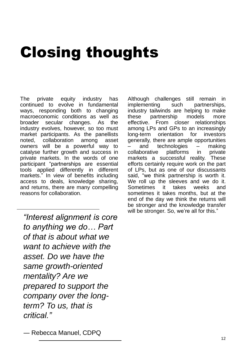# Closing thoughts

The private equity industry has continued to evolve in fundamental ways, responding both to changing macroeconomic conditions as well as broader secular changes. As the industry evolves, however, so too must market participants. As the panellists noted, collaboration among asset owners will be a powerful way to catalyse further growth and success in private markets. In the words of one participant "partnerships are essential tools applied differently in different markets." In view of benefits including access to deals, knowledge sharing, and returns, there are many compelling reasons for collaboration.

*"Interest alignment is core to anything we do… Part of that is about what we want to achieve with the asset. Do we have the same growth-oriented mentality? Are we prepared to support the company over the longterm? To us, that is critical."*

Although challenges still remain in implementing such partnerships, industry tailwinds are helping to make these partnership models more effective. From closer relationships among LPs and GPs to an increasingly long-term orientation for investors generally, there are ample opportunities and technologies  $-$  making collaborative platforms in private markets a successful reality. These efforts certainly require work on the part of LPs, but as one of our discussants said, "we think partnership is worth it. We roll up the sleeves and we do it. Sometimes it takes weeks and sometimes it takes months, but at the end of the day we think the returns will be stronger and the knowledge transfer will be stronger. So, we're all for this."